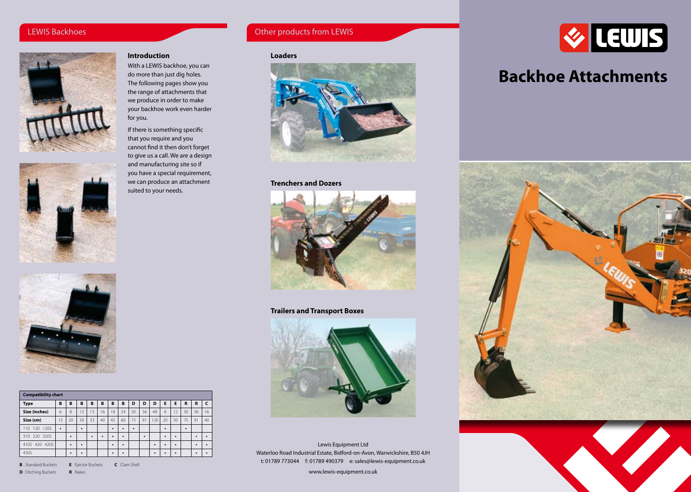# LEWIS Backhoes



# **Introduction**

With a LEWIS backhoe, you can do more than just dig holes. The following pages show you the range of attachments that we produce in order to make your backhoe work even harder for you.

If there is something specific that you require and you cannot find it then don't forget to give us a call. We are a design and manufacturing site so if you have a special requirement, we can produce an attachment suited to your needs.



| <b>Compatibility chart</b> |    |    |    |    |    |    |           |    |    |     |    |    |    |    |    |
|----------------------------|----|----|----|----|----|----|-----------|----|----|-----|----|----|----|----|----|
| <b>Type</b>                | B  | B  | B  | B  | B  | B  | B         | D  | D  | D   | Е  | E  | R  | R  | c  |
| Size (inches)              | 6  | 8  | 12 | 13 | 16 | 18 | 24        | 30 | 36 | 48  | 8  | 12 | 30 | 36 | 16 |
| Size (cm)                  | 15 | 20 | 30 | 33 | 40 | 45 | 60        | 75 | 91 | 120 | 20 | 30 | 75 | 91 | 40 |
| <b>120S</b><br>120<br>10   | ٠  |    | ٠  |    |    | ٠  | $\bullet$ | ٠  |    |     | ٠  |    | ٠  |    |    |
| 320S<br>320<br>310         |    | ٠  |    | ٠  | ٠  | ٠  | $\bullet$ |    | ٠  |     | ٠  | ٠  |    | ٠  | ٠  |
| 410S 420 420S              |    | ٠  | ٠  |    |    | ٠  | $\bullet$ |    |    | ٠   | ٠  | ٠  |    | ٠  | ٠  |
| 430S                       |    | ٠  | ٠  |    |    | ٠  | ٠         |    |    | ٠   | ٠  | ٠  |    | ٠  | ٠  |

**B** Standard Buckets **E** Ejector Buckets **C** Clam Shell **D** Ditching Buckets **R** Rakes



Other products from LEWIS



## **Trenchers and Dozers**



# **Trailers and Transport Boxes**



Lewis Equipment Ltd Waterloo Road Industrial Estate, Bidford-on-Avon, Warwickshire, B50 4JH t: 01789 773044 f: 01789 490379 e: sales@lewis-equipment.co.uk

www.lewis-equipment.co.uk



# **Backhoe Attachments**